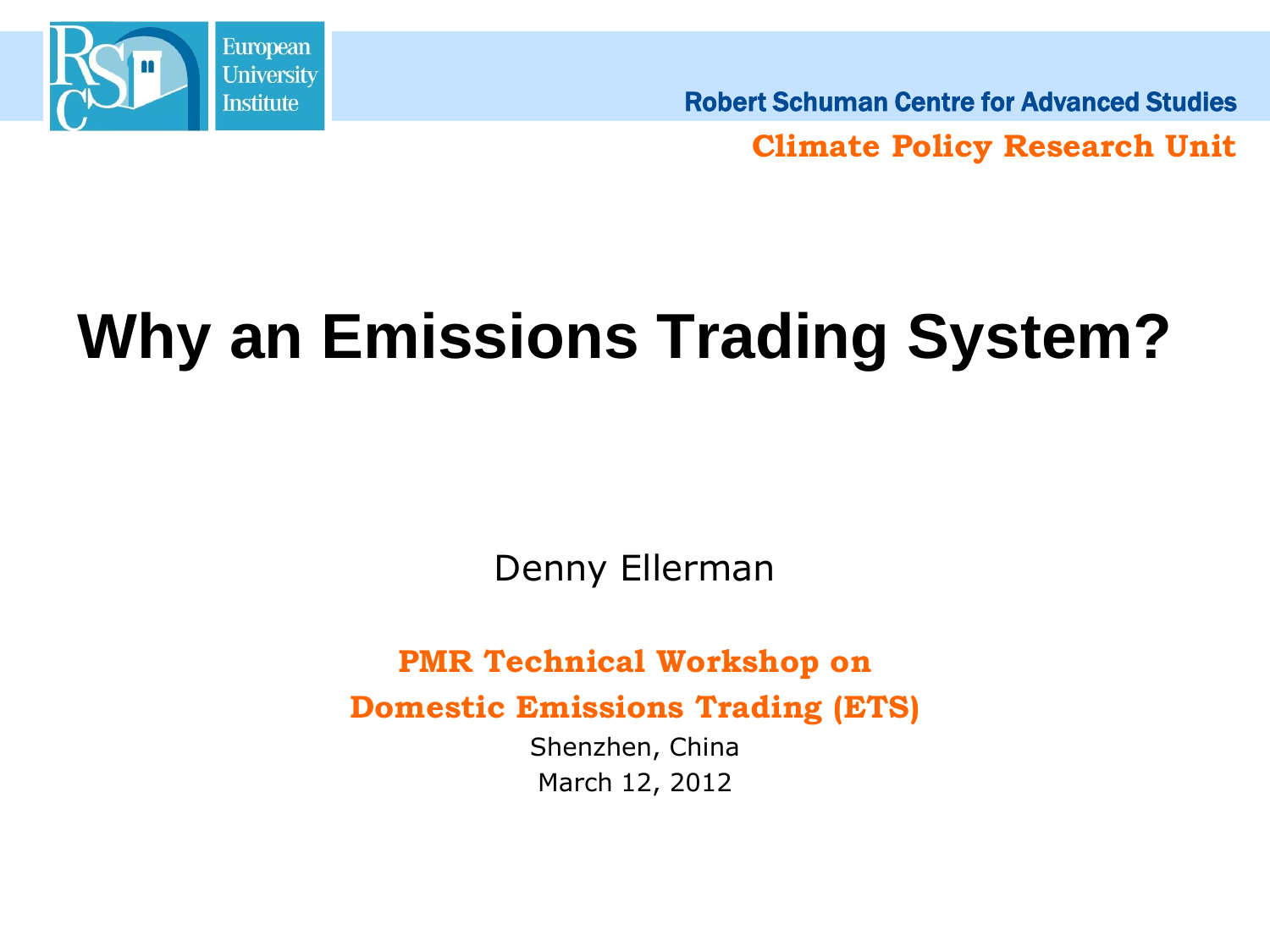

Robert Schuman Centre for Advanced Studies

**Climate Policy Research Unit**

# **Why an Emissions Trading System?**

Denny Ellerman

**PMR Technical Workshop on** 

**Domestic Emissions Trading (ETS)**

Shenzhen, China March 12, 2012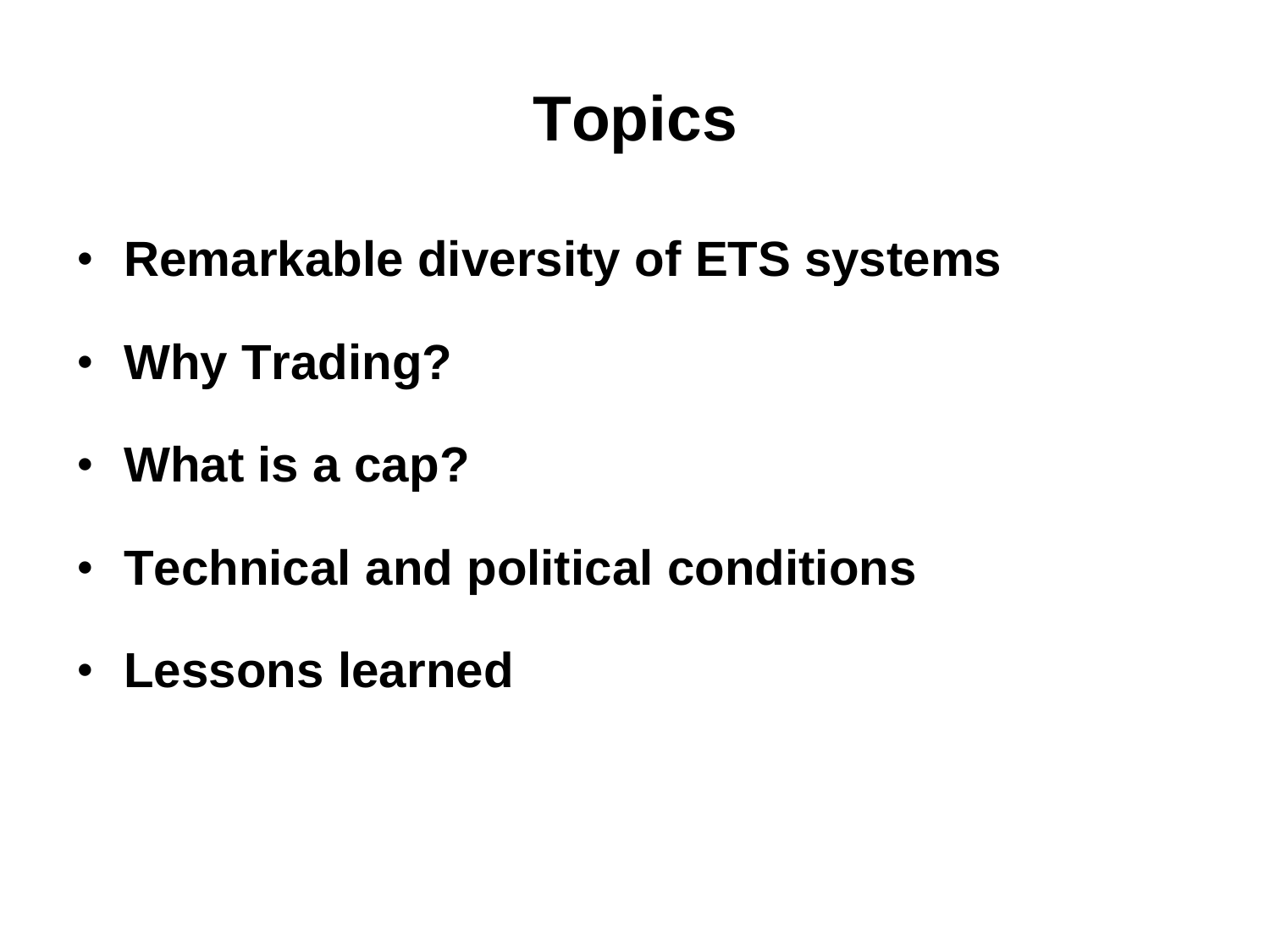# **Topics**

- **Remarkable diversity of ETS systems**
- **Why Trading?**
- **What is a cap?**
- **Technical and political conditions**
- **Lessons learned**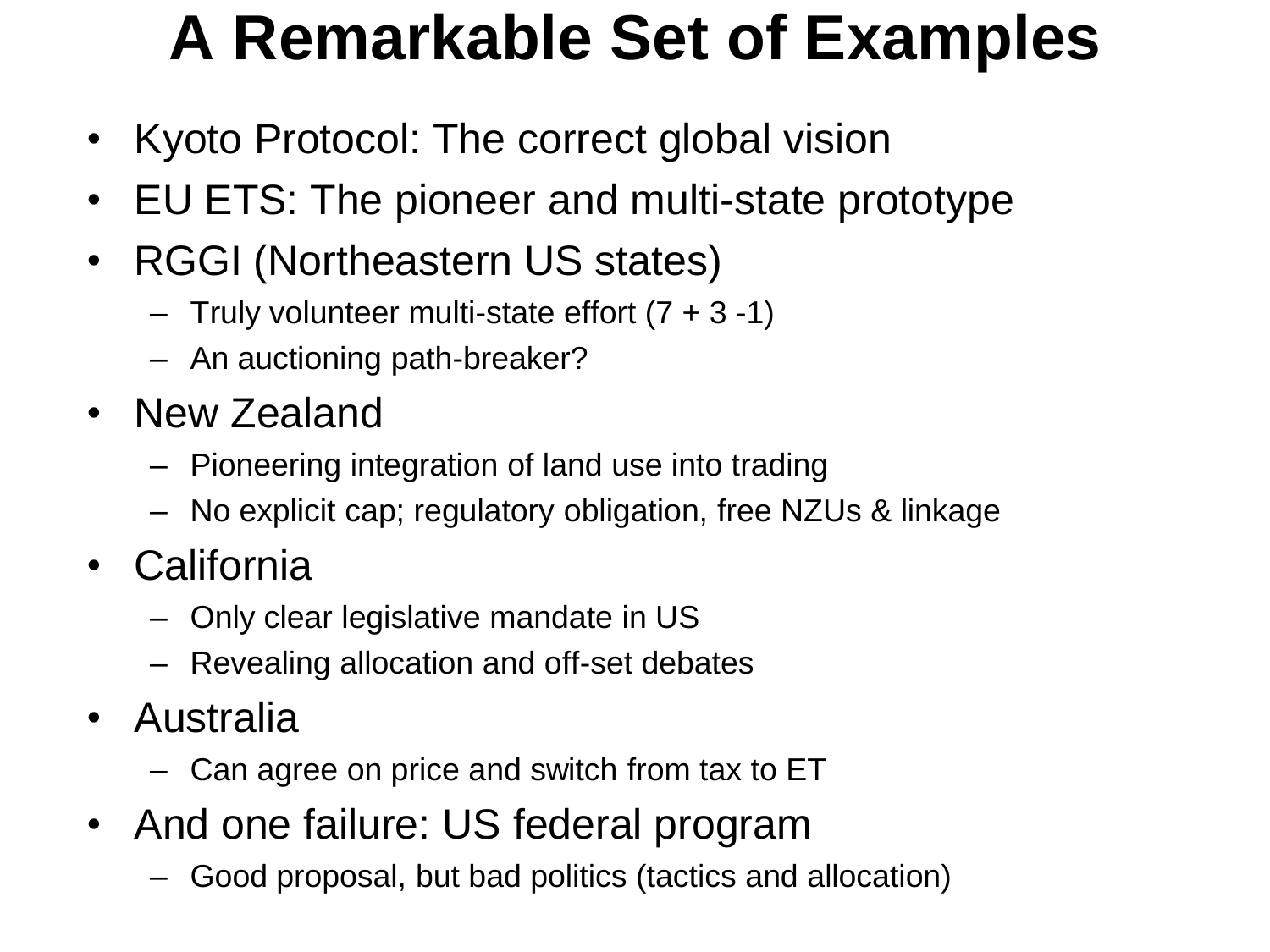### **A Remarkable Set of Examples**

- Kyoto Protocol: The correct global vision
- EU ETS: The pioneer and multi-state prototype
- RGGI (Northeastern US states)
	- $-$  Truly volunteer multi-state effort  $(7 + 3 1)$
	- An auctioning path-breaker?
- New Zealand
	- Pioneering integration of land use into trading
	- No explicit cap; regulatory obligation, free NZUs & linkage
- California
	- Only clear legislative mandate in US
	- Revealing allocation and off-set debates
- Australia
	- Can agree on price and switch from tax to ET
- And one failure: US federal program
	- Good proposal, but bad politics (tactics and allocation)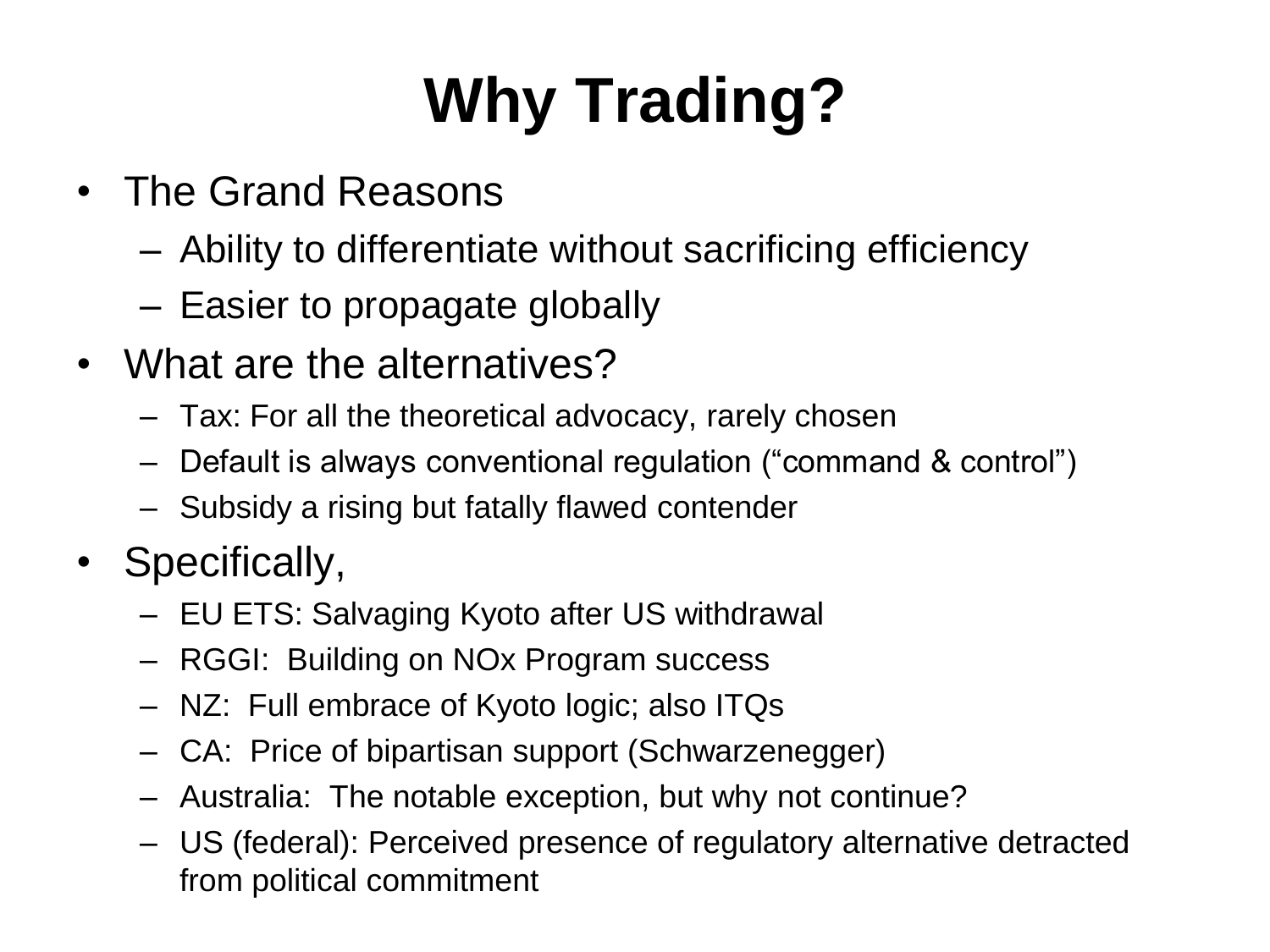# **Why Trading?**

- The Grand Reasons
	- Ability to differentiate without sacrificing efficiency
	- Easier to propagate globally
- What are the alternatives?
	- Tax: For all the theoretical advocacy, rarely chosen
	- Default is always conventional regulation ("command & control")
	- Subsidy a rising but fatally flawed contender
- Specifically,
	- EU ETS: Salvaging Kyoto after US withdrawal
	- RGGI: Building on NOx Program success
	- NZ: Full embrace of Kyoto logic; also ITQs
	- CA: Price of bipartisan support (Schwarzenegger)
	- Australia: The notable exception, but why not continue?
	- US (federal): Perceived presence of regulatory alternative detracted from political commitment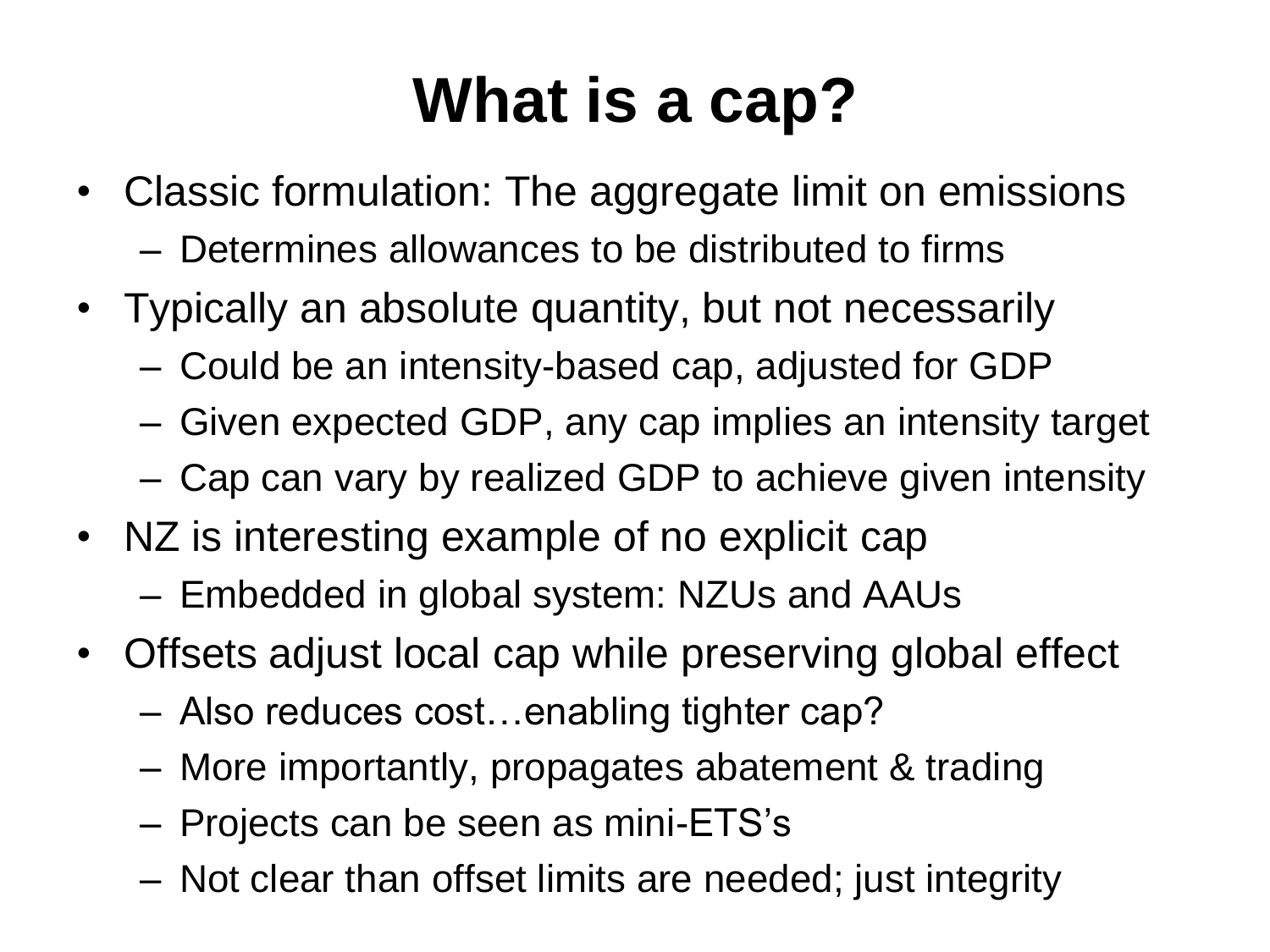### **What is a cap?**

- Classic formulation: The aggregate limit on emissions
	- Determines allowances to be distributed to firms
- Typically an absolute quantity, but not necessarily
	- Could be an intensity-based cap, adjusted for GDP
	- Given expected GDP, any cap implies an intensity target
	- Cap can vary by realized GDP to achieve given intensity
- NZ is interesting example of no explicit cap
	- Embedded in global system: NZUs and AAUs
- Offsets adjust local cap while preserving global effect
	- Also reduces cost…enabling tighter cap?
	- More importantly, propagates abatement & trading
	- Projects can be seen as mini-ETS's
	- Not clear than offset limits are needed; just integrity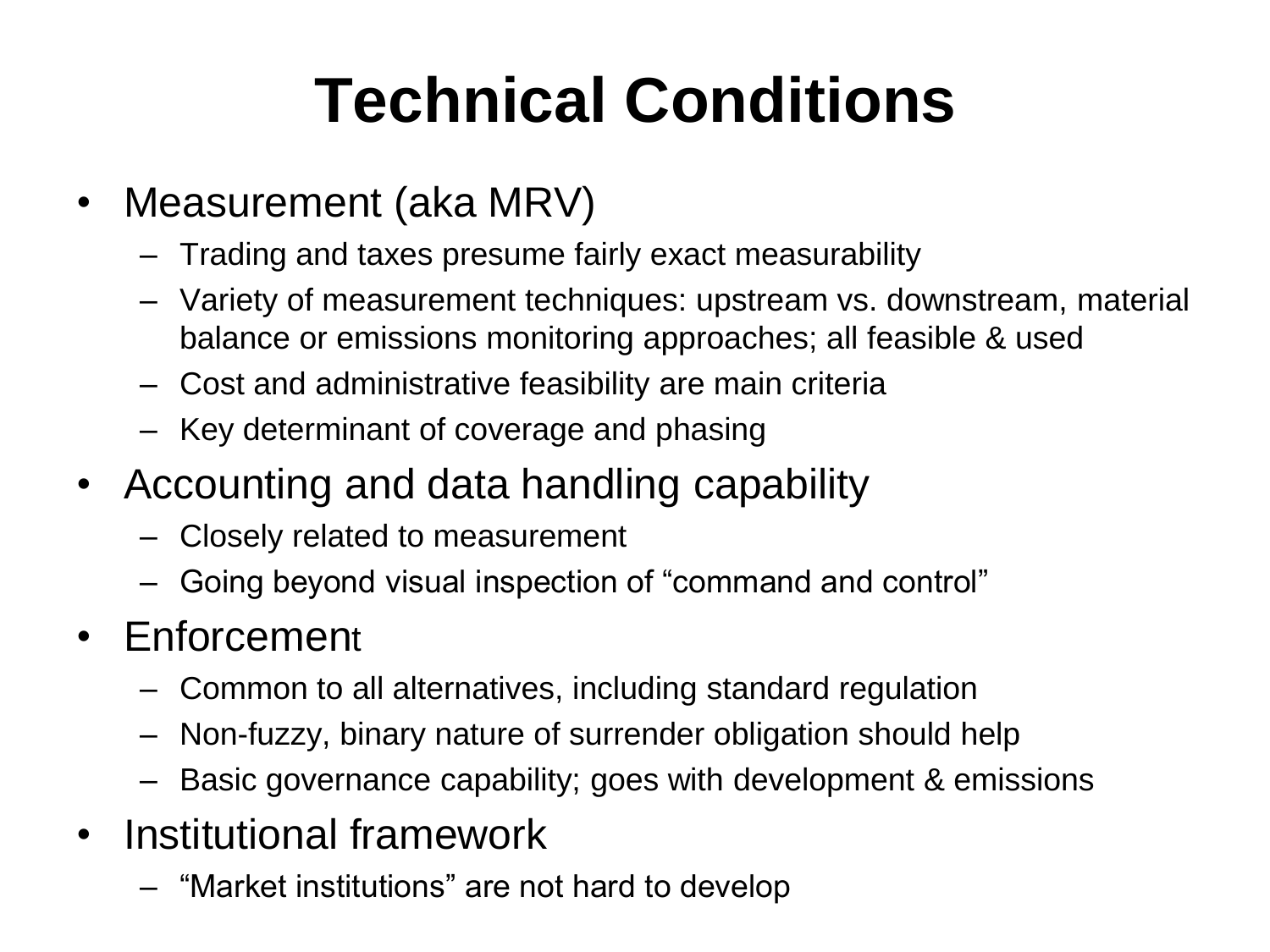# **Technical Conditions**

- Measurement (aka MRV)
	- Trading and taxes presume fairly exact measurability
	- Variety of measurement techniques: upstream vs. downstream, material balance or emissions monitoring approaches; all feasible & used
	- Cost and administrative feasibility are main criteria
	- Key determinant of coverage and phasing
- Accounting and data handling capability
	- Closely related to measurement
	- Going beyond visual inspection of "command and control"
- Enforcement
	- Common to all alternatives, including standard regulation
	- Non-fuzzy, binary nature of surrender obligation should help
	- Basic governance capability; goes with development & emissions
- Institutional framework
	- "Market institutions" are not hard to develop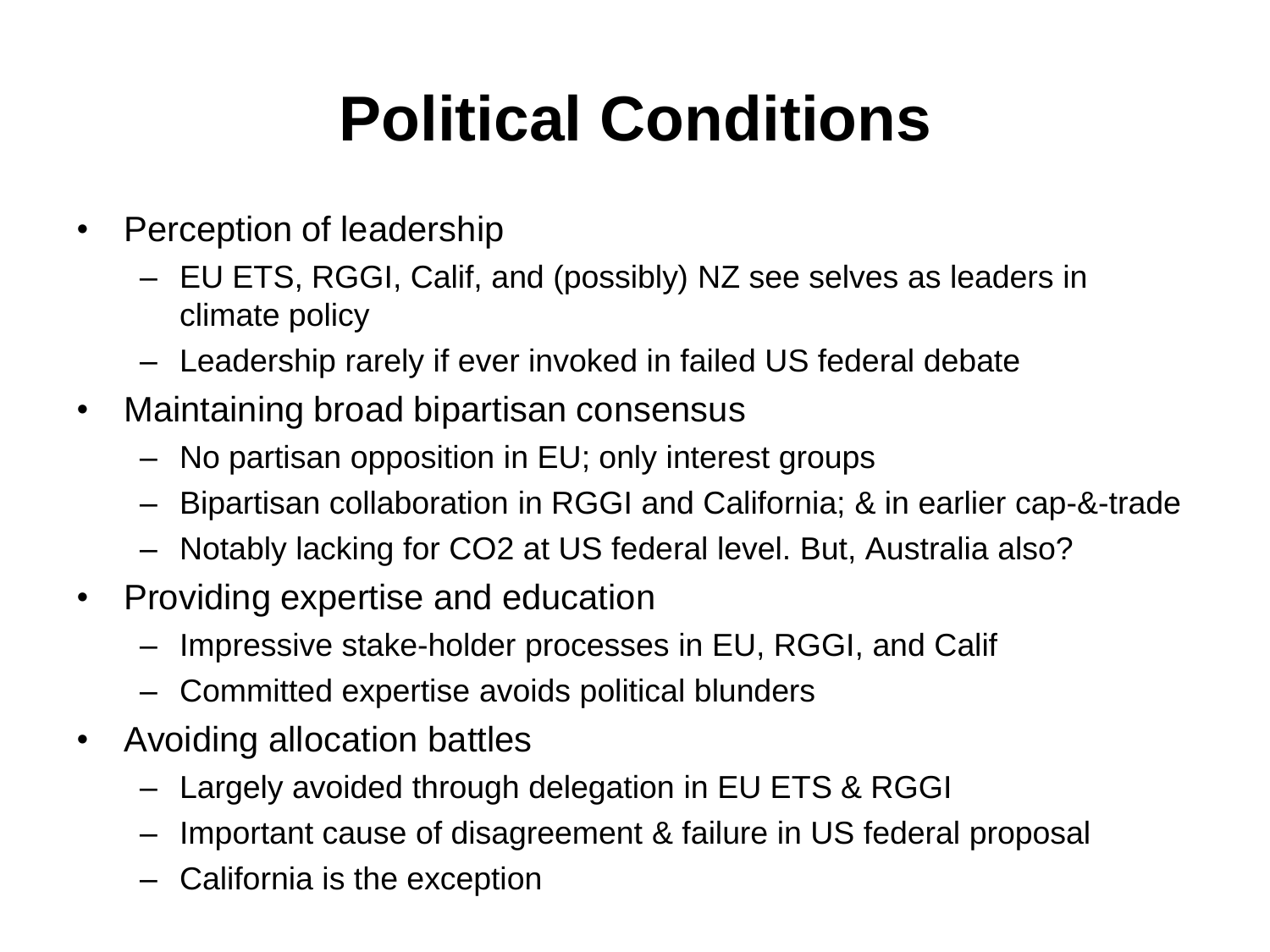## **Political Conditions**

- Perception of leadership
	- EU ETS, RGGI, Calif, and (possibly) NZ see selves as leaders in climate policy
	- Leadership rarely if ever invoked in failed US federal debate
- Maintaining broad bipartisan consensus
	- No partisan opposition in EU; only interest groups
	- Bipartisan collaboration in RGGI and California; & in earlier cap-&-trade
	- Notably lacking for CO2 at US federal level. But, Australia also?
- Providing expertise and education
	- Impressive stake-holder processes in EU, RGGI, and Calif
	- Committed expertise avoids political blunders
- Avoiding allocation battles
	- Largely avoided through delegation in EU ETS & RGGI
	- Important cause of disagreement & failure in US federal proposal
	- California is the exception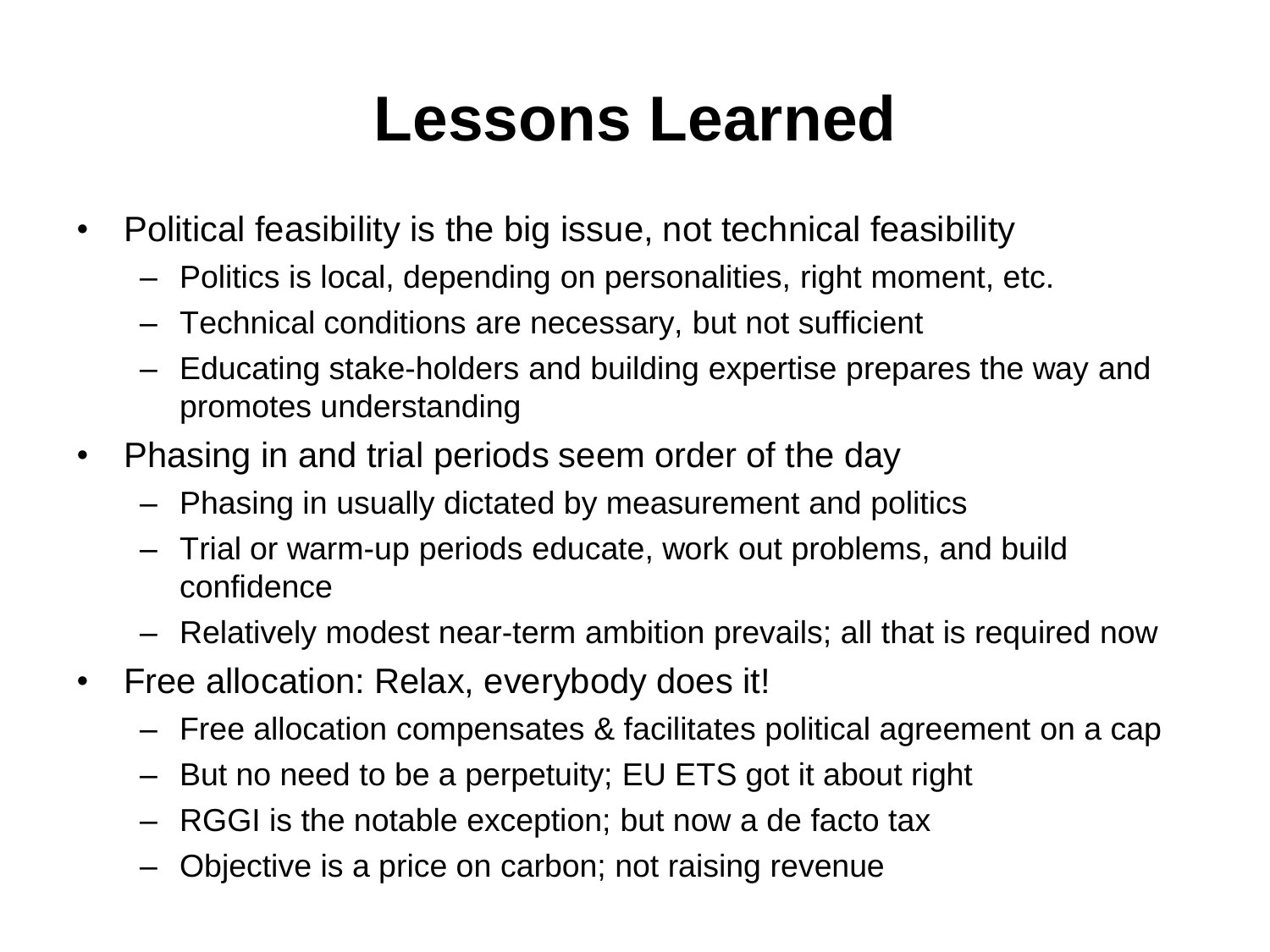#### **Lessons Learned**

- Political feasibility is the big issue, not technical feasibility
	- Politics is local, depending on personalities, right moment, etc.
	- Technical conditions are necessary, but not sufficient
	- Educating stake-holders and building expertise prepares the way and promotes understanding
- Phasing in and trial periods seem order of the day
	- Phasing in usually dictated by measurement and politics
	- Trial or warm-up periods educate, work out problems, and build confidence
	- Relatively modest near-term ambition prevails; all that is required now
- Free allocation: Relax, everybody does it!
	- Free allocation compensates & facilitates political agreement on a cap
	- But no need to be a perpetuity; EU ETS got it about right
	- RGGI is the notable exception; but now a de facto tax
	- Objective is a price on carbon; not raising revenue